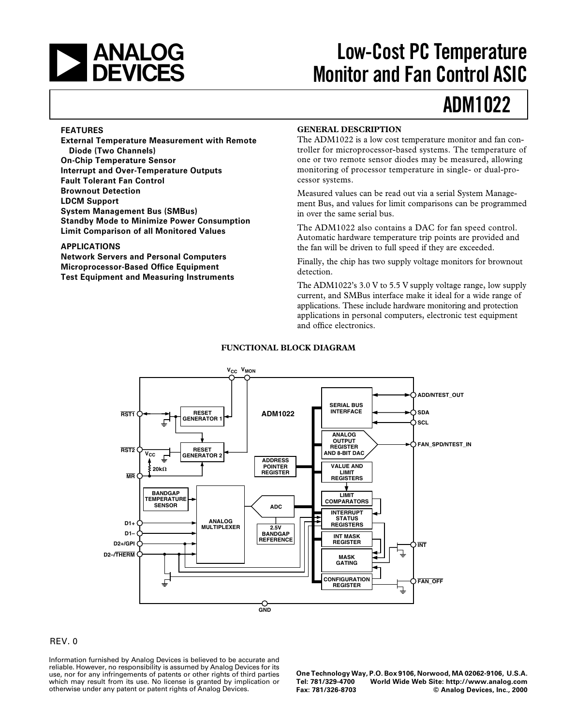

# **Low-Cost PC Temperature Monitor and Fan Control ASIC**

# **ADM1022**

### **FEATURES**

**External Temperature Measurement with Remote Diode (Two Channels) On-Chip Temperature Sensor Interrupt and Over-Temperature Outputs Fault Tolerant Fan Control Brownout Detection LDCM Support System Management Bus (SMBus) Standby Mode to Minimize Power Consumption Limit Comparison of all Monitored Values**

### **APPLICATIONS**

**Network Servers and Personal Computers Microprocessor-Based Office Equipment Test Equipment and Measuring Instruments**

### **GENERAL DESCRIPTION**

The ADM1022 is a low cost temperature monitor and fan controller for microprocessor-based systems. The temperature of one or two remote sensor diodes may be measured, allowing monitoring of processor temperature in single- or dual-processor systems.

Measured values can be read out via a serial System Management Bus, and values for limit comparisons can be programmed in over the same serial bus.

The ADM1022 also contains a DAC for fan speed control. Automatic hardware temperature trip points are provided and the fan will be driven to full speed if they are exceeded.

Finally, the chip has two supply voltage monitors for brownout detection.

The ADM1022's 3.0 V to 5.5 V supply voltage range, low supply current, and SMBus interface make it ideal for a wide range of applications. These include hardware monitoring and protection applications in personal computers, electronic test equipment and office electronics.



### **FUNCTIONAL BLOCK DIAGRAM**

### REV. 0

Information furnished by Analog Devices is believed to be accurate and reliable. However, no responsibility is assumed by Analog Devices for its use, nor for any infringements of patents or other rights of third parties which may result from its use. No license is granted by implication or otherwise under any patent or patent rights of Analog Devices.

**One Technology Way, P.O. Box 9106, Norwood, MA 02062-9106, U.S.A. Tel: 781/329-4700 World Wide Web Site: http://www.analog.com**  $©$  Analog Devices, Inc., 2000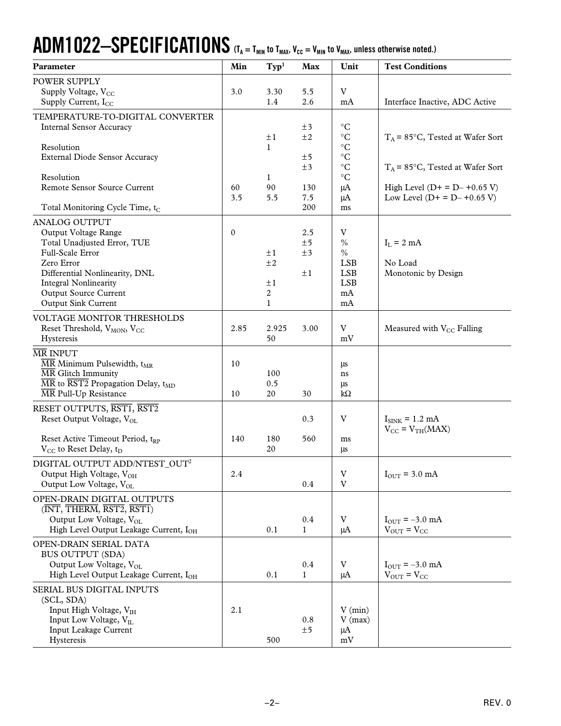# $\bf{ADM1022}\rm{-}SPECIFICATIONS$  (T<sub>A = Tmin</sub> to T<sub>MAX</sub>, V<sub>CC</sub> = V<sub>MIN</sub> to V<sub>MAX</sub>, unless otherwise noted.)

| Parameter                                                                                                                       | Min          | $\mathrm{Typ}^1$          | Max          | Unit                                 | <b>Test Conditions</b>             |
|---------------------------------------------------------------------------------------------------------------------------------|--------------|---------------------------|--------------|--------------------------------------|------------------------------------|
| <b>POWER SUPPLY</b>                                                                                                             |              |                           |              |                                      |                                    |
| Supply Voltage, V <sub>CC</sub>                                                                                                 | 3.0          | 3.30                      | 5.5          | V                                    |                                    |
| Supply Current, $I_{CC}$                                                                                                        |              | 1.4                       | 2.6          | mA                                   | Interface Inactive, ADC Active     |
| TEMPERATURE-TO-DIGITAL CONVERTER                                                                                                |              |                           |              |                                      |                                    |
| <b>Internal Sensor Accuracy</b>                                                                                                 |              |                           | ±3           | $\rm ^{\circ}C$                      |                                    |
|                                                                                                                                 |              | $\pm 1$                   | ±2           | $^\circ \text{C}$                    | $T_A$ = 85°C, Tested at Wafer Sort |
| Resolution                                                                                                                      |              | $\mathbf{1}$              |              | $^{\circ}{\rm C}$                    |                                    |
| <b>External Diode Sensor Accuracy</b>                                                                                           |              |                           | ±5           | $^{\circ}{\rm C}$<br>$\rm ^{\circ}C$ |                                    |
| Resolution                                                                                                                      |              | 1                         | ±3           | $\rm ^{\circ}C$                      | $T_A$ = 85°C, Tested at Wafer Sort |
| Remote Sensor Source Current                                                                                                    | 60           | 90                        | 130          | μA                                   | High Level ( $D+ = D- +0.65$ V)    |
|                                                                                                                                 | 3.5          | 5.5                       | 7.5          | μA                                   | Low Level $(D+ = D- +0.65 V)$      |
| Total Monitoring Cycle Time, t <sub>C</sub>                                                                                     |              |                           | 200          | ms                                   |                                    |
| <b>ANALOG OUTPUT</b>                                                                                                            |              |                           |              |                                      |                                    |
| Output Voltage Range                                                                                                            | $\mathbf{0}$ |                           | 2.5          | V                                    |                                    |
| Total Unadjusted Error, TUE                                                                                                     |              |                           | ±5           | $\%$                                 | $I_L = 2 mA$                       |
| Full-Scale Error                                                                                                                |              | $\pm 1$                   | ±3           | $\%$                                 |                                    |
| Zero Error                                                                                                                      |              | ±2                        |              | <b>LSB</b>                           | No Load                            |
| Differential Nonlinearity, DNL                                                                                                  |              |                           | ±1           | <b>LSB</b>                           | Monotonic by Design                |
| <b>Integral Nonlinearity</b>                                                                                                    |              | $\pm 1$<br>$\overline{2}$ |              | <b>LSB</b>                           |                                    |
| <b>Output Source Current</b><br><b>Output Sink Current</b>                                                                      |              | $\mathbf{1}$              |              | mA<br>mA                             |                                    |
|                                                                                                                                 |              |                           |              |                                      |                                    |
| VOLTAGE MONITOR THRESHOLDS                                                                                                      |              |                           |              |                                      |                                    |
| Reset Threshold, V <sub>MON</sub> , V <sub>CC</sub>                                                                             | 2.85         | 2.925<br>50               | 3.00         | V<br>mV                              | Measured with $V_{CC}$ Falling     |
| Hysteresis                                                                                                                      |              |                           |              |                                      |                                    |
| <b>MR INPUT</b>                                                                                                                 |              |                           |              |                                      |                                    |
| $\overline{\text{MR}}$ Minimum Pulsewidth, t <sub>MR</sub>                                                                      | 10           |                           |              | μs                                   |                                    |
| $\overline{\text{MR}}$ Glitch Immunity<br>$\overline{\text{MR}}$ to $\overline{\text{RST2}}$ Propagation Delay, t <sub>MD</sub> |              | 100<br>0.5                |              | ns                                   |                                    |
| $\overline{\text{MR}}$ Pull-Up Resistance                                                                                       | 10           | 20                        | 30           | μs<br>$k\Omega$                      |                                    |
| RESET OUTPUTS, RST1, RST2                                                                                                       |              |                           |              |                                      |                                    |
| Reset Output Voltage, V <sub>OL</sub>                                                                                           |              |                           | 0.3          | V                                    | $I_{\text{SINK}} = 1.2 \text{ mA}$ |
|                                                                                                                                 |              |                           |              |                                      | $V_{CC} = V_{TH}(MAX)$             |
| Reset Active Timeout Period, tRP                                                                                                | 140          | 180                       | 560          | ms                                   |                                    |
| $V_{CC}$ to Reset Delay, $t_D$                                                                                                  |              | 20                        |              | μs                                   |                                    |
| DIGITAL OUTPUT ADD/NTEST_OUT <sup>2</sup>                                                                                       |              |                           |              |                                      |                                    |
| Output High Voltage, V <sub>OH</sub>                                                                                            | 2.4          |                           |              | $\ensuremath{\text{V}}$              | $I_{\text{OUT}}$ = 3.0 mA          |
| Output Low Voltage, VOL                                                                                                         |              |                           | 0.4          | V                                    |                                    |
| OPEN-DRAIN DIGITAL OUTPUTS                                                                                                      |              |                           |              |                                      |                                    |
| $(\overline{\text{INT}}, \overline{\text{THEN}}, \overline{\text{RST2}}, \overline{\text{RST1}})$                               |              |                           |              |                                      |                                    |
| Output Low Voltage, V <sub>OL</sub>                                                                                             |              |                           | $0.4\,$      | $\ensuremath{\text{V}}$              | $I_{\text{OUT}} = -3.0 \text{ mA}$ |
| High Level Output Leakage Current, I <sub>OH</sub>                                                                              |              | 0.1                       | $\mathbf{1}$ | μA                                   | $V_{OUT} = V_{CC}$                 |
| OPEN-DRAIN SERIAL DATA                                                                                                          |              |                           |              |                                      |                                    |
| <b>BUS OUTPUT (SDA)</b>                                                                                                         |              |                           |              |                                      |                                    |
| Output Low Voltage, V <sub>OL</sub>                                                                                             |              |                           | $0.4\,$      | $\ensuremath{\text{V}}$              | $I_{\text{OUT}} = -3.0 \text{ mA}$ |
| High Level Output Leakage Current, I <sub>OH</sub>                                                                              |              | 0.1                       | $\mathbf{1}$ | μA                                   | $V_{\text{OUT}} = V_{\text{CC}}$   |
| SERIAL BUS DIGITAL INPUTS                                                                                                       |              |                           |              |                                      |                                    |
| (SCL, SDA)                                                                                                                      |              |                           |              |                                      |                                    |
| Input High Voltage, VIH                                                                                                         | 2.1          |                           |              | $V$ (min)                            |                                    |
| Input Low Voltage, V <sub>IL</sub>                                                                                              |              |                           | 0.8          | $V$ (max)                            |                                    |
| Input Leakage Current                                                                                                           |              |                           | ±5           | $\mu A$                              |                                    |
| Hysteresis                                                                                                                      |              | 500                       |              | mV                                   |                                    |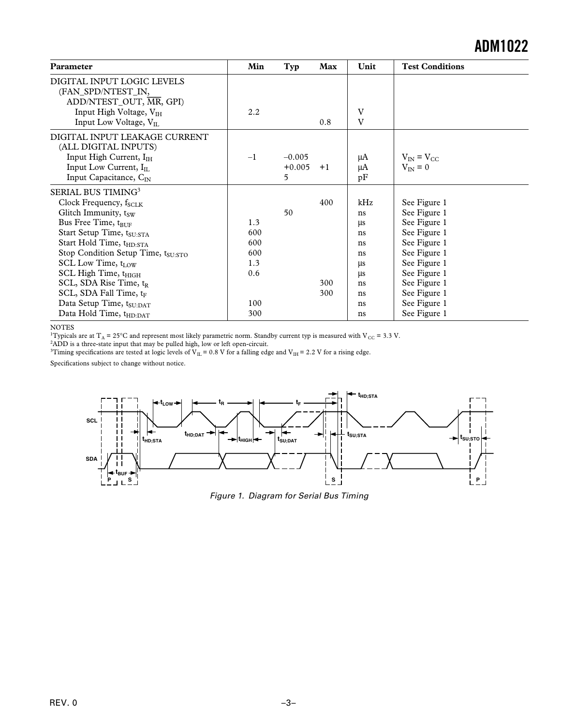| Parameter                                                                                                          | Min  | Typ      | Max  | Unit | <b>Test Conditions</b> |
|--------------------------------------------------------------------------------------------------------------------|------|----------|------|------|------------------------|
| DIGITAL INPUT LOGIC LEVELS<br>(FAN SPD/NTEST IN,<br>ADD/NTEST_OUT, MR, GPI)<br>Input High Voltage, V <sub>IH</sub> | 2.2  |          |      | V    |                        |
| Input Low Voltage, VLL                                                                                             |      |          | 0.8  | V    |                        |
| DIGITAL INPUT LEAKAGE CURRENT<br>(ALL DIGITAL INPUTS)                                                              |      |          |      |      |                        |
| Input High Current, I <sub>IH</sub>                                                                                | $-1$ | $-0.005$ |      | μA   | $V_{IN} = V_{CC}$      |
| Input Low Current, $I_{II}$                                                                                        |      | $+0.005$ | $+1$ | μA   | $V_{\text{IN}}=0$      |
| Input Capacitance, $C_{IN}$                                                                                        |      | 5        |      | pF   |                        |
| SERIAL BUS TIMING <sup>3</sup>                                                                                     |      |          |      |      |                        |
| Clock Frequency, f <sub>SCLK</sub>                                                                                 |      |          | 400  | kHz  | See Figure 1           |
| Glitch Immunity, $t_{sw}$                                                                                          |      | 50       |      | ns   | See Figure 1           |
| Bus Free Time, tBUF                                                                                                | 1.3  |          |      | μs   | See Figure 1           |
| Start Setup Time, tSU:STA                                                                                          | 600  |          |      | ns   | See Figure 1           |
| Start Hold Time, t <sub>HD:STA</sub>                                                                               | 600  |          |      | ns   | See Figure 1           |
| Stop Condition Setup Time, tSU:STO                                                                                 | 600  |          |      | ns   | See Figure 1           |
| SCL Low Time, $t_{LOW}$                                                                                            | 1.3  |          |      | μs   | See Figure 1           |
| SCL High Time, t <sub>HIGH</sub>                                                                                   | 0.6  |          |      | μs   | See Figure 1           |
| SCL, SDA Rise Time, t <sub>R</sub>                                                                                 |      |          | 300  | ns   | See Figure 1           |
| SCL, SDA Fall Time, tF                                                                                             |      |          | 300  | ns   | See Figure 1           |
| Data Setup Time, t <sub>SU:DAT</sub>                                                                               | 100  |          |      | ns   | See Figure 1           |
| Data Hold Time, tHD:DAT                                                                                            | 300  |          |      | ns   | See Figure 1           |

NOTES<br><sup>1</sup>Typicals are at T<sub>A</sub> = 25°C and represent most likely parametric norm. Standby current typ is measured with V<sub>CC</sub> = 3.3 V.<br><sup>2</sup>ADD is a three-state input that may be pulled high, low or left open-circuit.<br><sup>3</sup>Timin

Specifications subject to change without notice.



Figure 1. Diagram for Serial Bus Timing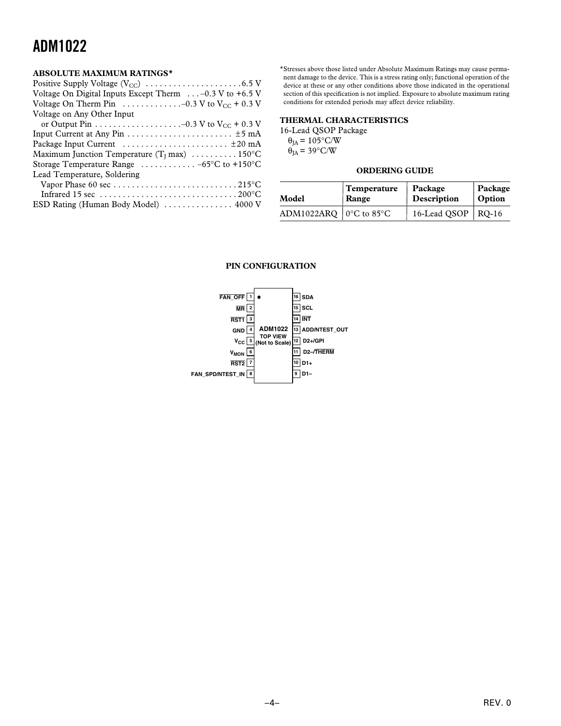### **ABSOLUTE MAXIMUM RATINGS\***

| Voltage On Digital Inputs Except Therm $\ldots$ -0.3 V to +6.5 V      |  |
|-----------------------------------------------------------------------|--|
| Voltage On Therm Pin $\dots\dots\dots\dots-0.3$ V to $V_{CC}$ + 0.3 V |  |
| Voltage on Any Other Input                                            |  |

| or Output Pin $\dots \dots \dots \dots \dots \dots -0.3$ V to $V_{CC}$ + 0.3 V      |  |
|-------------------------------------------------------------------------------------|--|
| Input Current at Any Pin $\dots \dots \dots \dots \dots \dots \dots \dots \pm 5$ mA |  |
|                                                                                     |  |
| Maximum Junction Temperature ( $T_1$ max)  150°C                                    |  |
| Storage Temperature Range $\ldots \ldots \ldots \ldots -65^{\circ}C$ to +150°C      |  |
| Lead Temperature, Soldering                                                         |  |
|                                                                                     |  |
|                                                                                     |  |
| ESD Rating (Human Body Model)  4000 V                                               |  |
|                                                                                     |  |

\*Stresses above those listed under Absolute Maximum Ratings may cause permanent damage to the device. This is a stress rating only; functional operation of the device at these or any other conditions above those indicated in the operational section of this specification is not implied. Exposure to absolute maximum rating conditions for extended periods may affect device reliability.

### **THERMAL CHARACTERISTICS**

16-Lead QSOP Package  $\theta_{JA}$  = 105°C/W  $\theta_{JA}$  = 39°C/W

### **ORDERING GUIDE**

| Model                          | <b>Temperature</b> | Package                | Package |
|--------------------------------|--------------------|------------------------|---------|
|                                | Range              | Description            | Option  |
| ADM1022ARQ $\vert$ 0°C to 85°C |                    | 16-Lead QSOP   $RQ-16$ |         |

#### **PIN CONFIGURATION**

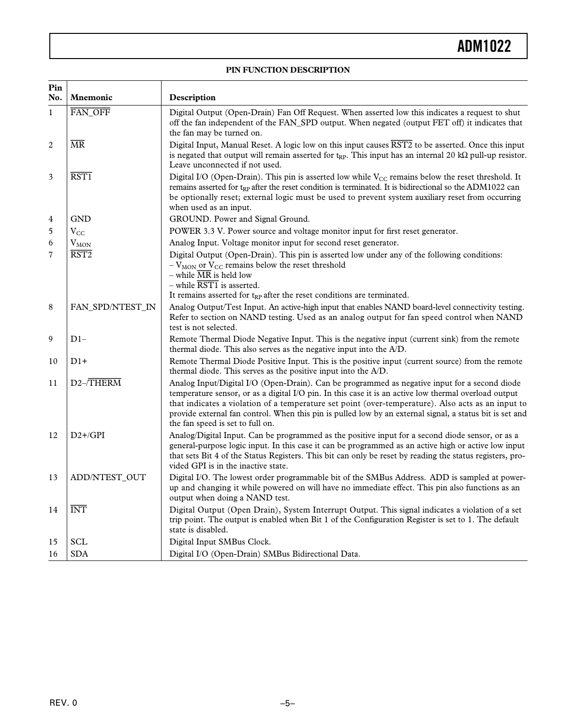### **PIN FUNCTION DESCRIPTION**

| Pin<br>No.     | <b>Mnemonic</b>          | Description                                                                                                                                                                                                                                                                                                                                                                                                                                                  |  |  |
|----------------|--------------------------|--------------------------------------------------------------------------------------------------------------------------------------------------------------------------------------------------------------------------------------------------------------------------------------------------------------------------------------------------------------------------------------------------------------------------------------------------------------|--|--|
| $\mathbf{1}$   | FAN_OFF                  | Digital Output (Open-Drain) Fan Off Request. When asserted low this indicates a request to shut<br>off the fan independent of the FAN_SPD output. When negated (output FET off) it indicates that<br>the fan may be turned on.                                                                                                                                                                                                                               |  |  |
| $\overline{c}$ | $\overline{\text{MR}}$   | Digital Input, Manual Reset. A logic low on this input causes $\overline{RST2}$ to be asserted. Once this input<br>is negated that output will remain asserted for t <sub>RP</sub> . This input has an internal 20 kQ pull-up resistor.<br>Leave unconnected if not used.                                                                                                                                                                                    |  |  |
| 3              | $\overline{\text{RST1}}$ | Digital I/O (Open-Drain). This pin is asserted low while $V_{CC}$ remains below the reset threshold. It<br>remains asserted for $t_{RP}$ after the reset condition is terminated. It is bidirectional so the ADM1022 can<br>be optionally reset; external logic must be used to prevent system auxiliary reset from occurring<br>when used as an input.                                                                                                      |  |  |
| 4              | GND                      | GROUND. Power and Signal Ground.                                                                                                                                                                                                                                                                                                                                                                                                                             |  |  |
| 5              | $\rm V_{CC}$             | POWER 3.3 V. Power source and voltage monitor input for first reset generator.                                                                                                                                                                                                                                                                                                                                                                               |  |  |
| 6              | $V_{MON}$                | Analog Input. Voltage monitor input for second reset generator.                                                                                                                                                                                                                                                                                                                                                                                              |  |  |
| $\overline{7}$ | $\overline{\text{RST2}}$ | Digital Output (Open-Drain). This pin is asserted low under any of the following conditions:<br>$-VMON$ or $VCC$ remains below the reset threshold<br>- while MR is held low<br>- while RST1 is asserted.                                                                                                                                                                                                                                                    |  |  |
|                |                          | It remains asserted for $t_{RP}$ after the reset conditions are terminated.                                                                                                                                                                                                                                                                                                                                                                                  |  |  |
| 8              | FAN_SPD/NTEST_IN         | Analog Output/Test Input. An active-high input that enables NAND board-level connectivity testing.<br>Refer to section on NAND testing. Used as an analog output for fan speed control when NAND<br>test is not selected.                                                                                                                                                                                                                                    |  |  |
| 9              | $D1-$                    | Remote Thermal Diode Negative Input. This is the negative input (current sink) from the remote<br>thermal diode. This also serves as the negative input into the A/D.                                                                                                                                                                                                                                                                                        |  |  |
| 10             | $D1+$                    | Remote Thermal Diode Positive Input. This is the positive input (current source) from the remote<br>thermal diode. This serves as the positive input into the A/D.                                                                                                                                                                                                                                                                                           |  |  |
| 11             | $D2 - \overline{THERM}$  | Analog Input/Digital I/O (Open-Drain). Can be programmed as negative input for a second diode<br>temperature sensor, or as a digital I/O pin. In this case it is an active low thermal overload output<br>that indicates a violation of a temperature set point (over-temperature). Also acts as an input to<br>provide external fan control. When this pin is pulled low by an external signal, a status bit is set and<br>the fan speed is set to full on. |  |  |
| 12             | $D2+$ /GPI               | Analog/Digital Input. Can be programmed as the positive input for a second diode sensor, or as a<br>general-purpose logic input. In this case it can be programmed as an active high or active low input<br>that sets Bit 4 of the Status Registers. This bit can only be reset by reading the status registers, pro-<br>vided GPI is in the inactive state.                                                                                                 |  |  |
| 13             | ADD/NTEST_OUT            | Digital I/O. The lowest order programmable bit of the SMBus Address. ADD is sampled at power-<br>up and changing it while powered on will have no immediate effect. This pin also functions as an<br>output when doing a NAND test.                                                                                                                                                                                                                          |  |  |
| 14             | <b>INT</b>               | Digital Output (Open Drain), System Interrupt Output. This signal indicates a violation of a set<br>trip point. The output is enabled when Bit 1 of the Configuration Register is set to 1. The default<br>state is disabled.                                                                                                                                                                                                                                |  |  |
| 15             | SCL                      | Digital Input SMBus Clock.                                                                                                                                                                                                                                                                                                                                                                                                                                   |  |  |
| 16             | <b>SDA</b>               | Digital I/O (Open-Drain) SMBus Bidirectional Data.                                                                                                                                                                                                                                                                                                                                                                                                           |  |  |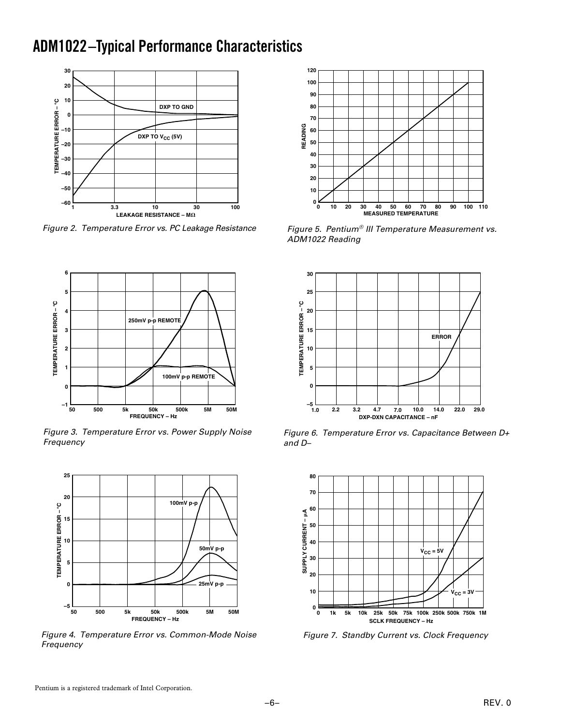### **ADM1022 –Typical Performance Characteristics**



Figure 2. Temperature Error vs. PC Leakage Resistance



Figure 3. Temperature Error vs. Power Supply Noise Frequency



Figure 4. Temperature Error vs. Common-Mode Noise Frequency



Figure 5. Pentium® III Temperature Measurement vs. ADM1022 Reading



Figure 6. Temperature Error vs. Capacitance Between D+ and D–



Figure 7. Standby Current vs. Clock Frequency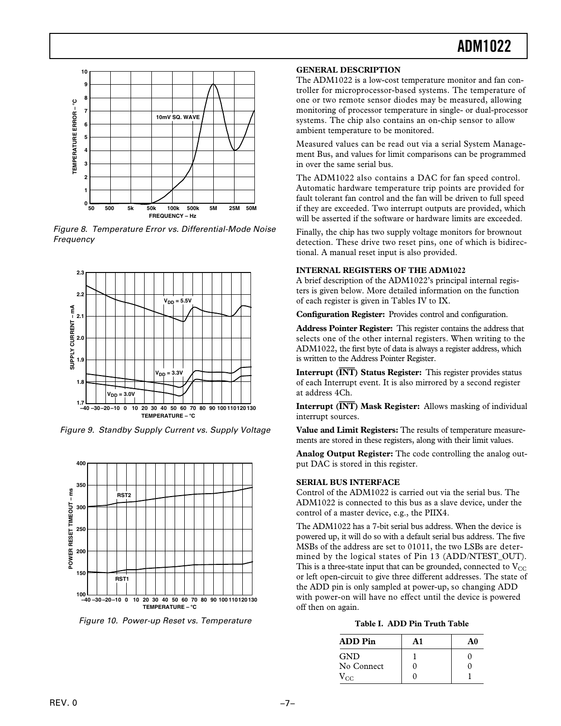

Figure 8. Temperature Error vs. Differential-Mode Noise Frequency



Figure 9. Standby Supply Current vs. Supply Voltage



Figure 10. Power-up Reset vs. Temperature

#### **GENERAL DESCRIPTION**

The ADM1022 is a low-cost temperature monitor and fan controller for microprocessor-based systems. The temperature of one or two remote sensor diodes may be measured, allowing monitoring of processor temperature in single- or dual-processor systems. The chip also contains an on-chip sensor to allow ambient temperature to be monitored.

Measured values can be read out via a serial System Management Bus, and values for limit comparisons can be programmed in over the same serial bus.

The ADM1022 also contains a DAC for fan speed control. Automatic hardware temperature trip points are provided for fault tolerant fan control and the fan will be driven to full speed if they are exceeded. Two interrupt outputs are provided, which will be asserted if the software or hardware limits are exceeded.

Finally, the chip has two supply voltage monitors for brownout detection. These drive two reset pins, one of which is bidirectional. A manual reset input is also provided.

### **INTERNAL REGISTERS OF THE ADM1022**

A brief description of the ADM1022's principal internal registers is given below. More detailed information on the function of each register is given in Tables IV to IX.

**Configuration Register:** Provides control and configuration.

**Address Pointer Register:** This register contains the address that selects one of the other internal registers. When writing to the ADM1022, the first byte of data is always a register address, which is written to the Address Pointer Register.

**Interrupt (INT) Status Register:** This register provides status of each Interrupt event. It is also mirrored by a second register at address 4Ch.

**Interrupt (INT) Mask Register:** Allows masking of individual interrupt sources.

**Value and Limit Registers:** The results of temperature measurements are stored in these registers, along with their limit values.

**Analog Output Register:** The code controlling the analog output DAC is stored in this register.

#### **SERIAL BUS INTERFACE**

Control of the ADM1022 is carried out via the serial bus. The ADM1022 is connected to this bus as a slave device, under the control of a master device, e.g., the PIIX4.

The ADM1022 has a 7-bit serial bus address. When the device is powered up, it will do so with a default serial bus address. The five MSBs of the address are set to 01011, the two LSBs are determined by the logical states of Pin 13 (ADD/NTEST\_OUT). This is a three-state input that can be grounded, connected to  $V_{\text{CC}}$ or left open-circuit to give three different addresses. The state of the ADD pin is only sampled at power-up, so changing ADD with power-on will have no effect until the device is powered off then on again.

| Table I. ADD Pin Truth Table |  |  |  |  |
|------------------------------|--|--|--|--|
|------------------------------|--|--|--|--|

| <b>ADD</b> Pin | A1 | A0 |
|----------------|----|----|
| <b>GND</b>     |    |    |
| No Connect     |    |    |
| $V_{CC}$       |    |    |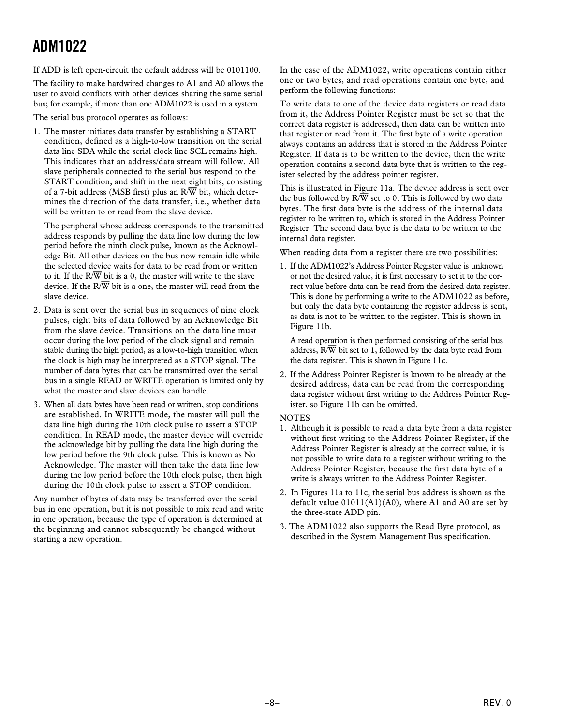If ADD is left open-circuit the default address will be 0101100.

The facility to make hardwired changes to A1 and A0 allows the user to avoid conflicts with other devices sharing the same serial bus; for example, if more than one ADM1022 is used in a system.

The serial bus protocol operates as follows:

1. The master initiates data transfer by establishing a START condition, defined as a high-to-low transition on the serial data line SDA while the serial clock line SCL remains high. This indicates that an address/data stream will follow. All slave peripherals connected to the serial bus respond to the START condition, and shift in the next eight bits, consisting of a 7-bit address (MSB first) plus an R/*W* bit, which determines the direction of the data transfer, i.e., whether data will be written to or read from the slave device.

The peripheral whose address corresponds to the transmitted address responds by pulling the data line low during the low period before the ninth clock pulse, known as the Acknowledge Bit. All other devices on the bus now remain idle while the selected device waits for data to be read from or written to it. If the R/*W* bit is a 0, the master will write to the slave device. If the R/*W* bit is a one, the master will read from the slave device.

- 2. Data is sent over the serial bus in sequences of nine clock pulses, eight bits of data followed by an Acknowledge Bit from the slave device. Transitions on the data line must occur during the low period of the clock signal and remain stable during the high period, as a low-to-high transition when the clock is high may be interpreted as a STOP signal. The number of data bytes that can be transmitted over the serial bus in a single READ or WRITE operation is limited only by what the master and slave devices can handle.
- 3. When all data bytes have been read or written, stop conditions are established. In WRITE mode, the master will pull the data line high during the 10th clock pulse to assert a STOP condition. In READ mode, the master device will override the acknowledge bit by pulling the data line high during the low period before the 9th clock pulse. This is known as No Acknowledge. The master will then take the data line low during the low period before the 10th clock pulse, then high during the 10th clock pulse to assert a STOP condition.

Any number of bytes of data may be transferred over the serial bus in one operation, but it is not possible to mix read and write in one operation, because the type of operation is determined at the beginning and cannot subsequently be changed without starting a new operation.

In the case of the ADM1022, write operations contain either one or two bytes, and read operations contain one byte, and perform the following functions:

To write data to one of the device data registers or read data from it, the Address Pointer Register must be set so that the correct data register is addressed, then data can be written into that register or read from it. The first byte of a write operation always contains an address that is stored in the Address Pointer Register. If data is to be written to the device, then the write operation contains a second data byte that is written to the register selected by the address pointer register.

This is illustrated in Figure 11a. The device address is sent over the bus followed by  $R/\overline{W}$  set to 0. This is followed by two data bytes. The first data byte is the address of the internal data register to be written to, which is stored in the Address Pointer Register. The second data byte is the data to be written to the internal data register.

When reading data from a register there are two possibilities:

1. If the ADM1022's Address Pointer Register value is unknown or not the desired value, it is first necessary to set it to the correct value before data can be read from the desired data register. This is done by performing a write to the ADM1022 as before, but only the data byte containing the register address is sent, as data is not to be written to the register. This is shown in Figure 11b.

A read operation is then performed consisting of the serial bus address, R/*W* bit set to 1, followed by the data byte read from the data register. This is shown in Figure 11c.

2. If the Address Pointer Register is known to be already at the desired address, data can be read from the corresponding data register without first writing to the Address Pointer Register, so Figure 11b can be omitted.

### **NOTES**

- 1. Although it is possible to read a data byte from a data register without first writing to the Address Pointer Register, if the Address Pointer Register is already at the correct value, it is not possible to write data to a register without writing to the Address Pointer Register, because the first data byte of a write is always written to the Address Pointer Register.
- 2. In Figures 11a to 11c, the serial bus address is shown as the default value  $01011(A1)(A0)$ , where A1 and A0 are set by the three-state ADD pin.
- 3. The ADM1022 also supports the Read Byte protocol, as described in the System Management Bus specification.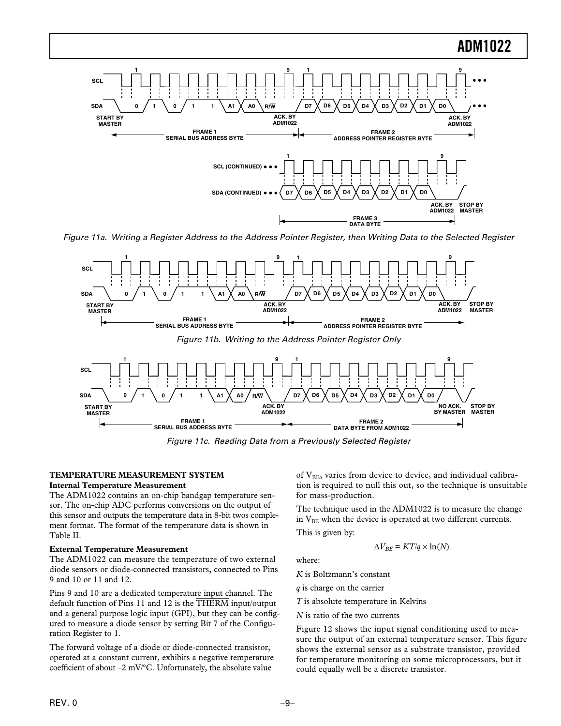

Figure 11a. Writing a Register Address to the Address Pointer Register, then Writing Data to the Selected Register



Figure 11c. Reading Data from a Previously Selected Register

### **TEMPERATURE MEASUREMENT SYSTEM**

#### **Internal Temperature Measurement**

The ADM1022 contains an on-chip bandgap temperature sensor. The on-chip ADC performs conversions on the output of this sensor and outputs the temperature data in 8-bit twos complement format. The format of the temperature data is shown in Table II.

#### **External Temperature Measurement**

The ADM1022 can measure the temperature of two external diode sensors or diode-connected transistors, connected to Pins 9 and 10 or 11 and 12.

Pins 9 and 10 are a dedicated temperature input channel. The default function of Pins 11 and 12 is the *THERM* input/output and a general purpose logic input (GPI), but they can be configured to measure a diode sensor by setting Bit 7 of the Configuration Register to 1.

The forward voltage of a diode or diode-connected transistor, operated at a constant current, exhibits a negative temperature coefficient of about  $-2$  mV/ $\degree$ C. Unfortunately, the absolute value

of  $V_{BE}$ , varies from device to device, and individual calibration is required to null this out, so the technique is unsuitable for mass-production.

The technique used in the ADM1022 is to measure the change in V<sub>BE</sub> when the device is operated at two different currents.

This is given by:

$$
\Delta V_{BE} = KT/q \times \ln(N)
$$

where:

*K* is Boltzmann's constant

*q* is charge on the carrier

*T* is absolute temperature in Kelvins

*N* is ratio of the two currents

Figure 12 shows the input signal conditioning used to measure the output of an external temperature sensor. This figure shows the external sensor as a substrate transistor, provided for temperature monitoring on some microprocessors, but it could equally well be a discrete transistor.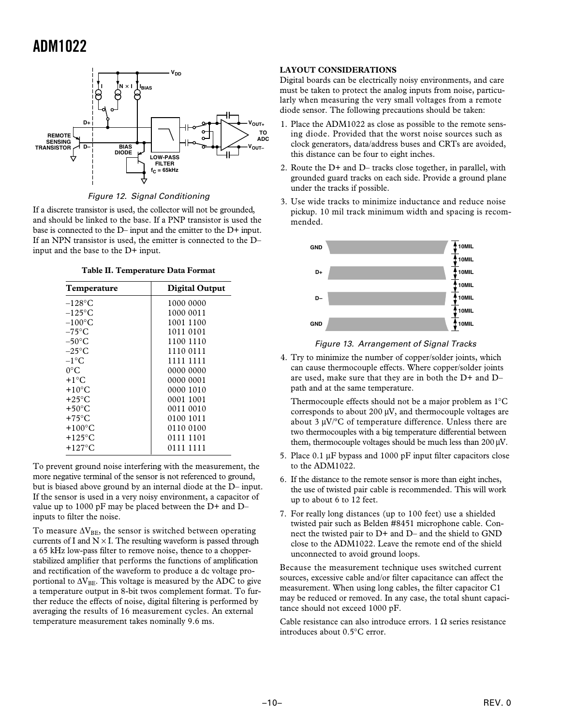

Figure 12. Signal Conditioning

If a discrete transistor is used, the collector will not be grounded, and should be linked to the base. If a PNP transistor is used the base is connected to the D– input and the emitter to the D+ input. If an NPN transistor is used, the emitter is connected to the D– input and the base to the D+ input.

**Table II. Temperature Data Format**

| Temperature      | <b>Digital Output</b> |
|------------------|-----------------------|
| $-128$ °C        | 1000 0000             |
| $-125$ °C        | 1000 0011             |
| $-100^{\circ}$ C | 1001 1100             |
| $-75^{\circ}$ C  | 1011 0101             |
| $-50^{\circ}$ C  | 1100 1110             |
| $-25^{\circ}$ C  | 1110 0111             |
| $-1$ °C          | 1111 1111             |
| $0^{\circ}$ C    | 0000 0000             |
| $+1^{\circ}C$    | 0000 0001             |
| $+10^{\circ}$ C  | 0000 1010             |
| $+25^{\circ}$ C  | 0001 1001             |
| $+50^{\circ}$ C  | 0011 0010             |
| $+75^{\circ}$ C  | 0100 1011             |
| $+100^{\circ}$ C | 0110 0100             |
| $+125^{\circ}$ C | 0111 1101             |
| $+127^{\circ}$ C | 0111 1111             |

To prevent ground noise interfering with the measurement, the more negative terminal of the sensor is not referenced to ground, but is biased above ground by an internal diode at the D– input. If the sensor is used in a very noisy environment, a capacitor of value up to 1000 pF may be placed between the D+ and D– inputs to filter the noise.

To measure  $\Delta V_{BE}$ , the sensor is switched between operating currents of I and  $N \times I$ . The resulting waveform is passed through a 65 kHz low-pass filter to remove noise, thence to a chopperstabilized amplifier that performs the functions of amplification and rectification of the waveform to produce a dc voltage proportional to  $\Delta V_{BE}$ . This voltage is measured by the ADC to give a temperature output in 8-bit twos complement format. To further reduce the effects of noise, digital filtering is performed by averaging the results of 16 measurement cycles. An external temperature measurement takes nominally 9.6 ms.

### **LAYOUT CONSIDERATIONS**

Digital boards can be electrically noisy environments, and care must be taken to protect the analog inputs from noise, particularly when measuring the very small voltages from a remote diode sensor. The following precautions should be taken:

- 1. Place the ADM1022 as close as possible to the remote sensing diode. Provided that the worst noise sources such as clock generators, data/address buses and CRTs are avoided, this distance can be four to eight inches.
- 2. Route the D+ and D– tracks close together, in parallel, with grounded guard tracks on each side. Provide a ground plane under the tracks if possible.
- 3. Use wide tracks to minimize inductance and reduce noise pickup. 10 mil track minimum width and spacing is recommended.



### Figure 13. Arrangement of Signal Tracks

4. Try to minimize the number of copper/solder joints, which can cause thermocouple effects. Where copper/solder joints are used, make sure that they are in both the D+ and D– path and at the same temperature.

Thermocouple effects should not be a major problem as 1°C corresponds to about 200 µV, and thermocouple voltages are about 3  $\mu$ V/°C of temperature difference. Unless there are two thermocouples with a big temperature differential between them, thermocouple voltages should be much less than 200 µV.

- 5. Place 0.1 µF bypass and 1000 pF input filter capacitors close to the ADM1022.
- 6. If the distance to the remote sensor is more than eight inches, the use of twisted pair cable is recommended. This will work up to about 6 to 12 feet.
- 7. For really long distances (up to 100 feet) use a shielded twisted pair such as Belden #8451 microphone cable. Connect the twisted pair to D+ and D– and the shield to GND close to the ADM1022. Leave the remote end of the shield unconnected to avoid ground loops.

Because the measurement technique uses switched current sources, excessive cable and/or filter capacitance can affect the measurement. When using long cables, the filter capacitor C1 may be reduced or removed. In any case, the total shunt capacitance should not exceed 1000 pF.

Cable resistance can also introduce errors. 1  $\Omega$  series resistance introduces about 0.5°C error.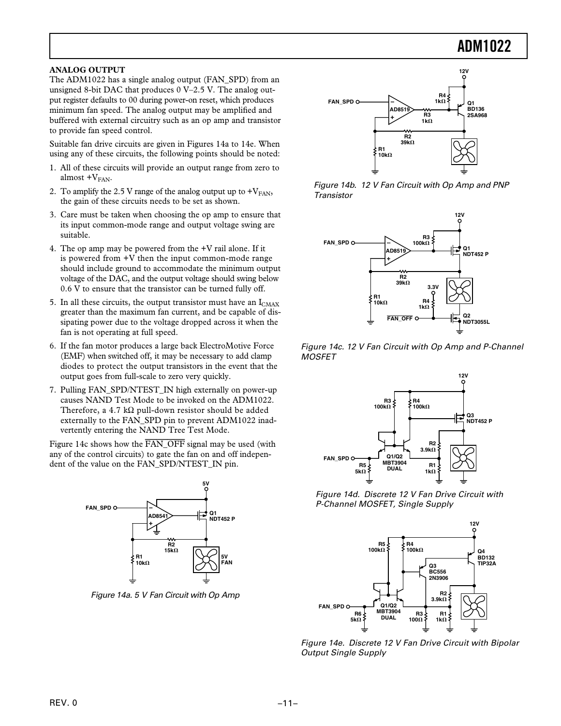### **ANALOG OUTPUT**

The ADM1022 has a single analog output (FAN\_SPD) from an unsigned 8-bit DAC that produces 0 V–2.5 V. The analog output register defaults to 00 during power-on reset, which produces minimum fan speed. The analog output may be amplified and buffered with external circuitry such as an op amp and transistor to provide fan speed control.

Suitable fan drive circuits are given in Figures 14a to 14e. When using any of these circuits, the following points should be noted:

- 1. All of these circuits will provide an output range from zero to almost  $+V<sub>FAN</sub>$ .
- 2. To amplify the 2.5 V range of the analog output up to  $+V_{FAN}$ , the gain of these circuits needs to be set as shown.
- 3. Care must be taken when choosing the op amp to ensure that its input common-mode range and output voltage swing are suitable.
- 4. The op amp may be powered from the +V rail alone. If it is powered from +V then the input common-mode range should include ground to accommodate the minimum output voltage of the DAC, and the output voltage should swing below 0.6 V to ensure that the transistor can be turned fully off.
- 5. In all these circuits, the output transistor must have an  $I_{CMAX}$ greater than the maximum fan current, and be capable of dissipating power due to the voltage dropped across it when the fan is not operating at full speed.
- 6. If the fan motor produces a large back ElectroMotive Force (EMF) when switched off, it may be necessary to add clamp diodes to protect the output transistors in the event that the output goes from full-scale to zero very quickly.
- 7. Pulling FAN\_SPD/NTEST\_IN high externally on power-up causes NAND Test Mode to be invoked on the ADM1022. Therefore, a 4.7 kΩ pull-down resistor should be added externally to the FAN\_SPD pin to prevent ADM1022 inadvertently entering the NAND Tree Test Mode.

Figure 14c shows how the *FAN\_OFF* signal may be used (with any of the control circuits) to gate the fan on and off independent of the value on the FAN\_SPD/NTEST\_IN pin.



Figure 14a. 5 V Fan Circuit with Op Amp



Figure 14b. 12 V Fan Circuit with Op Amp and PNP **Transistor** 



Figure 14c. 12 V Fan Circuit with Op Amp and P-Channel **MOSFET** 



Figure 14d. Discrete 12 V Fan Drive Circuit with P-Channel MOSFET, Single Supply



Figure 14e. Discrete 12 V Fan Drive Circuit with Bipolar Output Single Supply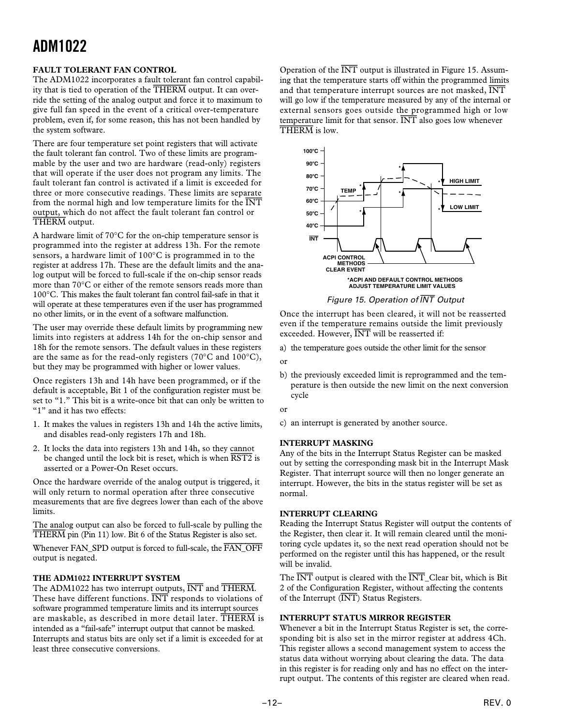### **FAULT TOLERANT FAN CONTROL**

The ADM1022 incorporates a fault tolerant fan control capability that is tied to operation of the *THERM* output. It can override the setting of the analog output and force it to maximum to give full fan speed in the event of a critical over-temperature problem, even if, for some reason, this has not been handled by the system software.

There are four temperature set point registers that will activate the fault tolerant fan control. Two of these limits are programmable by the user and two are hardware (read-only) registers that will operate if the user does not program any limits. The fault tolerant fan control is activated if a limit is exceeded for three or more consecutive readings. These limits are separate from the normal high and low temperature limits for the *INT* output, which do not affect the fault tolerant fan control or *THERM* output.

A hardware limit of 70°C for the on-chip temperature sensor is programmed into the register at address 13h. For the remote sensors, a hardware limit of 100°C is programmed in to the register at address 17h. These are the default limits and the analog output will be forced to full-scale if the on-chip sensor reads more than 70°C or either of the remote sensors reads more than 100°C. This makes the fault tolerant fan control fail-safe in that it will operate at these temperatures even if the user has programmed no other limits, or in the event of a software malfunction.

The user may override these default limits by programming new limits into registers at address 14h for the on-chip sensor and 18h for the remote sensors. The default values in these registers are the same as for the read-only registers (70°C and 100°C), but they may be programmed with higher or lower values.

Once registers 13h and 14h have been programmed, or if the default is acceptable, Bit 1 of the configuration register must be set to "1." This bit is a write-once bit that can only be written to "1" and it has two effects:

- 1. It makes the values in registers 13h and 14h the active limits, and disables read-only registers 17h and 18h.
- 2. It locks the data into registers 13h and 14h, so they cannot be changed until the lock bit is reset, which is when *RST2* is asserted or a Power-On Reset occurs.

Once the hardware override of the analog output is triggered, it will only return to normal operation after three consecutive measurements that are five degrees lower than each of the above limits.

The analog output can also be forced to full-scale by pulling the *THERM* pin (Pin 11) low. Bit 6 of the Status Register is also set.

Whenever FAN\_SPD output is forced to full-scale, the *FAN\_OFF* output is negated.

### **THE ADM1022 INTERRUPT SYSTEM**

The ADM1022 has two interrupt outputs, *INT* and *THERM*. These have different functions. *INT* responds to violations of software programmed temperature limits and its interrupt sources are maskable, as described in more detail later. *THERM* is intended as a "fail-safe" interrupt output that cannot be masked. Interrupts and status bits are only set if a limit is exceeded for at least three consecutive conversions.

Operation of the *INT* output is illustrated in Figure 15. Assuming that the temperature starts off within the programmed limits and that temperature interrupt sources are not masked, *INT* will go low if the temperature measured by any of the internal or external sensors goes outside the programmed high or low temperature limit for that sensor. *INT* also goes low whenever *THERM* is low.



Figure 15. Operation of INT Output

Once the interrupt has been cleared, it will not be reasserted even if the temperature remains outside the limit previously exceeded. However, *INT* will be reasserted if:

a) the temperature goes outside the other limit for the sensor

- or
- b) the previously exceeded limit is reprogrammed and the temperature is then outside the new limit on the next conversion cycle

or

c) an interrupt is generated by another source.

### **INTERRUPT MASKING**

Any of the bits in the Interrupt Status Register can be masked out by setting the corresponding mask bit in the Interrupt Mask Register. That interrupt source will then no longer generate an interrupt. However, the bits in the status register will be set as normal.

### **INTERRUPT CLEARING**

Reading the Interrupt Status Register will output the contents of the Register, then clear it. It will remain cleared until the monitoring cycle updates it, so the next read operation should not be performed on the register until this has happened, or the result will be invalid.

The *INT* output is cleared with the *INT*\_Clear bit, which is Bit 2 of the Configuration Register, without affecting the contents of the Interrupt (*INT*) Status Registers.

### **INTERRUPT STATUS MIRROR REGISTER**

Whenever a bit in the Interrupt Status Register is set, the corresponding bit is also set in the mirror register at address 4Ch. This register allows a second management system to access the status data without worrying about clearing the data. The data in this register is for reading only and has no effect on the interrupt output. The contents of this register are cleared when read.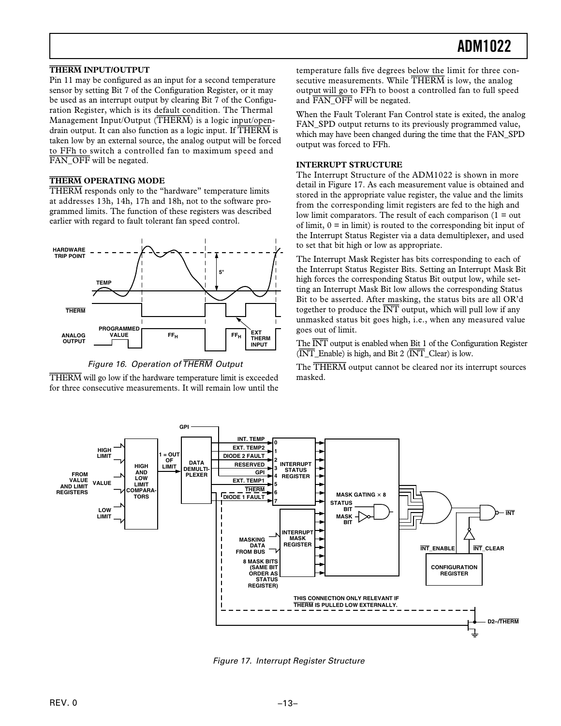### **THERM INPUT/OUTPUT**

Pin 11 may be configured as an input for a second temperature sensor by setting Bit 7 of the Configuration Register, or it may be used as an interrupt output by clearing Bit 7 of the Configuration Register, which is its default condition. The Thermal Management Input/Output (*THERM*) is a logic input/opendrain output. It can also function as a logic input. If *THERM* is taken low by an external source, the analog output will be forced to FFh to switch a controlled fan to maximum speed and *FAN\_OFF* will be negated.

### **THERM OPERATING MODE**

*THERM* responds only to the "hardware" temperature limits at addresses 13h, 14h, 17h and 18h, not to the software programmed limits. The function of these registers was described earlier with regard to fault tolerant fan speed control.



Figure 16. Operation of THERM Output

*THERM* will go low if the hardware temperature limit is exceeded for three consecutive measurements. It will remain low until the

temperature falls five degrees below the limit for three consecutive measurements. While *THERM* is low, the analog output will go to FFh to boost a controlled fan to full speed and *FAN\_OFF* will be negated.

When the Fault Tolerant Fan Control state is exited, the analog FAN\_SPD output returns to its previously programmed value, which may have been changed during the time that the FAN\_SPD output was forced to FFh.

#### **INTERRUPT STRUCTURE**

The Interrupt Structure of the ADM1022 is shown in more detail in Figure 17. As each measurement value is obtained and stored in the appropriate value register, the value and the limits from the corresponding limit registers are fed to the high and low limit comparators. The result of each comparison  $(1 = out$ of limit,  $0 =$  in limit) is routed to the corresponding bit input of the Interrupt Status Register via a data demultiplexer, and used to set that bit high or low as appropriate.

The Interrupt Mask Register has bits corresponding to each of the Interrupt Status Register Bits. Setting an Interrupt Mask Bit high forces the corresponding Status Bit output low, while setting an Interrupt Mask Bit low allows the corresponding Status Bit to be asserted. After masking, the status bits are all OR'd together to produce the  $\overline{INT}$  output, which will pull low if any unmasked status bit goes high, i.e., when any measured value goes out of limit.

The *INT* output is enabled when Bit 1 of the Configuration Register (*INT*\_Enable) is high, and Bit 2 (*INT*\_Clear) is low.

The *THERM* output cannot be cleared nor its interrupt sources masked.



Figure 17. Interrupt Register Structure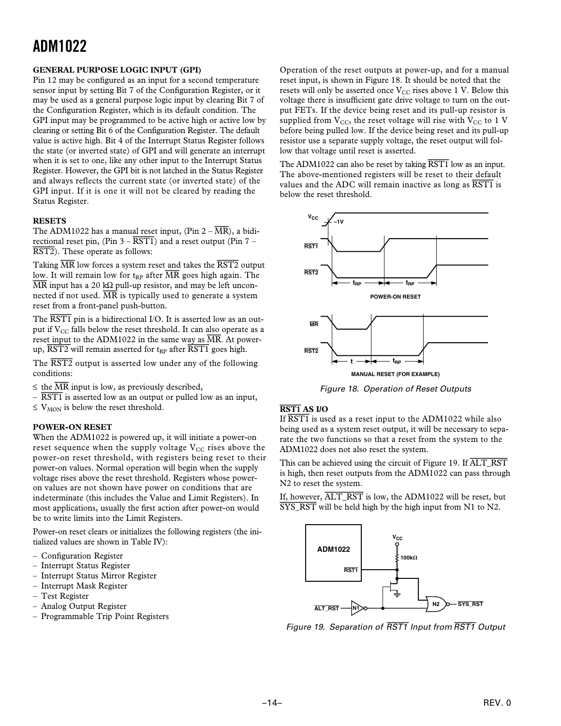### **GENERAL PURPOSE LOGIC INPUT (GPI)**

Pin 12 may be configured as an input for a second temperature sensor input by setting Bit 7 of the Configuration Register, or it may be used as a general purpose logic input by clearing Bit 7 of the Configuration Register, which is its default condition. The GPI input may be programmed to be active high or active low by clearing or setting Bit 6 of the Configuration Register. The default value is active high. Bit 4 of the Interrupt Status Register follows the state (or inverted state) of GPI and will generate an interrupt when it is set to one, like any other input to the Interrupt Status Register. However, the GPI bit is not latched in the Status Register and always reflects the current state (or inverted state) of the GPI input. If it is one it will not be cleared by reading the Status Register.

### **RESETS**

The ADM1022 has a manual reset input, (Pin  $2 - \overline{MR}$ ), a bidirectional reset pin,  $(\text{Pin } 3 - \overline{\text{RST1}})$  and a reset output (Pin 7 – *RST2*). These operate as follows:

Taking *MR* low forces a system reset and takes the *RST2* output low. It will remain low for t<sub>RP</sub> after  $\overline{MR}$  goes high again. The  $\overline{MR}$  input has a 20 kΩ pull-up resistor, and may be left unconnected if not used.  $\overline{MR}$  is typically used to generate a system reset from a front-panel push-button.

The  $\overline{RST1}$  pin is a bidirectional I/O. It is asserted low as an output if  $V_{CC}$  falls below the reset threshold. It can also operate as a reset input to the ADM1022 in the same way as  $\overline{MR}$ . At powerup,  $\overline{RST2}$  will remain asserted for t<sub>RP</sub> after  $\overline{RST1}$  goes high.

The *RST2* output is asserted low under any of the following conditions:

- $\leq$  the  $\overline{MR}$  input is low, as previously described,
- *RST1* is asserted low as an output or pulled low as an input,
- $\leq$  V<sub>MON</sub> is below the reset threshold.

### **POWER-ON RESET**

When the ADM1022 is powered up, it will initiate a power-on reset sequence when the supply voltage  $V_{CC}$  rises above the power-on reset threshold, with registers being reset to their power-on values. Normal operation will begin when the supply voltage rises above the reset threshold. Registers whose poweron values are not shown have power on conditions that are indeterminate (this includes the Value and Limit Registers). In most applications, usually the first action after power-on would be to write limits into the Limit Registers.

Power-on reset clears or initializes the following registers (the initialized values are shown in Table IV):

- Configuration Register
- Interrupt Status Register
- Interrupt Status Mirror Register
- Interrupt Mask Register
- Test Register
- Analog Output Register
- Programmable Trip Point Registers

Operation of the reset outputs at power-up, and for a manual reset input, is shown in Figure 18. It should be noted that the resets will only be asserted once  $V_{CC}$  rises above 1 V. Below this voltage there is insufficient gate drive voltage to turn on the output FETs. If the device being reset and its pull-up resistor is supplied from  $V_{CC}$ , the reset voltage will rise with  $V_{CC}$  to 1 V before being pulled low. If the device being reset and its pull-up resistor use a separate supply voltage, the reset output will follow that voltage until reset is asserted.

The ADM1022 can also be reset by taking *RST1* low as an input. The above-mentioned registers will be reset to their default values and the ADC will remain inactive as long as *RST1* is below the reset threshold.



Figure 18. Operation of Reset Outputs

### **RST1 AS I/O**

If *RST1* is used as a reset input to the ADM1022 while also being used as a system reset output, it will be necessary to separate the two functions so that a reset from the system to the ADM1022 does not also reset the system.

This can be achieved using the circuit of Figure 19. If *ALT\_RST* is high, then reset outputs from the ADM1022 can pass through N2 to reset the system.

If, however, *ALT\_RST* is low, the ADM1022 will be reset, but *SYS\_RST* will be held high by the high input from N1 to N2.



Figure 19. Separation of RST1 Input from RST1 Output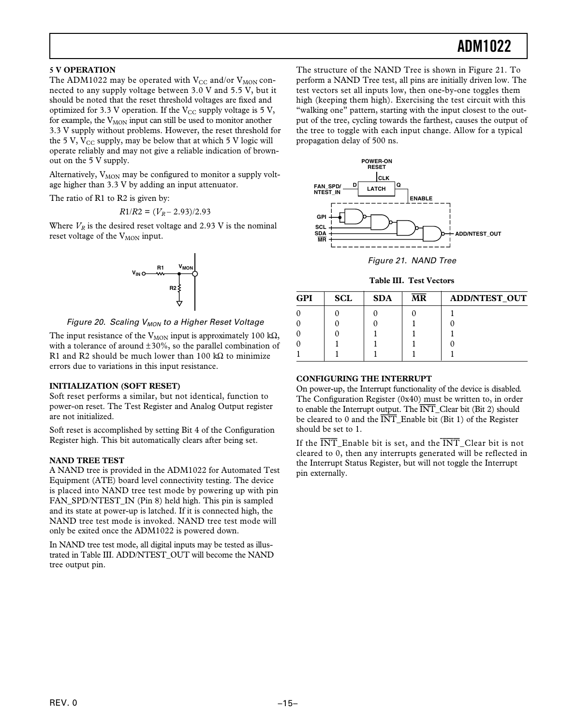### **5 V OPERATION**

The ADM1022 may be operated with  $V_{CC}$  and/or  $V_{MON}$  connected to any supply voltage between 3.0 V and 5.5 V, but it should be noted that the reset threshold voltages are fixed and optimized for 3.3 V operation. If the  $V_{CC}$  supply voltage is 5 V, for example, the  $V_{MON}$  input can still be used to monitor another 3.3 V supply without problems. However, the reset threshold for the 5 V,  $V_{CC}$  supply, may be below that at which 5 V logic will operate reliably and may not give a reliable indication of brownout on the 5 V supply.

Alternatively,  $V_{MON}$  may be configured to monitor a supply voltage higher than 3.3 V by adding an input attenuator.

The ratio of R1 to R2 is given by:

$$
R1/R2 = (V_R - 2.93)/2.93
$$

Where  $V_R$  is the desired reset voltage and 2.93 V is the nominal reset voltage of the V<sub>MON</sub> input.



Figure 20. Scaling  $V_{MON}$  to a Higher Reset Voltage

The input resistance of the V<sub>MON</sub> input is approximately 100 k $\Omega$ , with a tolerance of around  $\pm 30\%$ , so the parallel combination of R1 and R2 should be much lower than 100 kΩ to minimize errors due to variations in this input resistance.

### **INITIALIZATION (SOFT RESET)**

Soft reset performs a similar, but not identical, function to power-on reset. The Test Register and Analog Output register are not initialized.

Soft reset is accomplished by setting Bit 4 of the Configuration Register high. This bit automatically clears after being set.

### **NAND TREE TEST**

A NAND tree is provided in the ADM1022 for Automated Test Equipment (ATE) board level connectivity testing. The device is placed into NAND tree test mode by powering up with pin FAN\_SPD/NTEST\_IN (Pin 8) held high. This pin is sampled and its state at power-up is latched. If it is connected high, the NAND tree test mode is invoked. NAND tree test mode will only be exited once the ADM1022 is powered down.

In NAND tree test mode, all digital inputs may be tested as illustrated in Table III. ADD/NTEST\_OUT will become the NAND tree output pin.

The structure of the NAND Tree is shown in Figure 21. To perform a NAND Tree test, all pins are initially driven low. The test vectors set all inputs low, then one-by-one toggles them high (keeping them high). Exercising the test circuit with this "walking one" pattern, starting with the input closest to the output of the tree, cycling towards the farthest, causes the output of the tree to toggle with each input change. Allow for a typical propagation delay of 500 ns.



Figure 21. NAND Tree

**Table III. Test Vectors**

| <b>GPI</b> | <b>SCL</b> | <b>SDA</b> | <b>MR</b> | <b>ADD/NTEST_OUT</b> |
|------------|------------|------------|-----------|----------------------|
|            |            |            |           |                      |
|            |            |            |           |                      |
|            |            |            |           |                      |
|            |            |            |           |                      |
|            |            |            |           |                      |

### **CONFIGURING THE INTERRUPT**

On power-up, the Interrupt functionality of the device is disabled. The Configuration Register (0x40) must be written to, in order to enable the Interrupt output. The *INT*\_Clear bit (Bit 2) should be cleared to 0 and the *INT*\_Enable bit (Bit 1) of the Register should be set to 1.

If the *INT*\_Enable bit is set, and the *INT*\_Clear bit is not cleared to 0, then any interrupts generated will be reflected in the Interrupt Status Register, but will not toggle the Interrupt pin externally.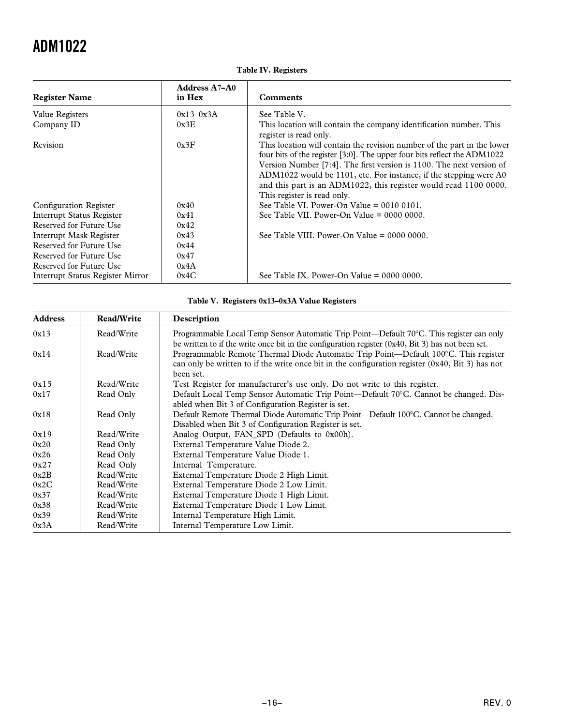|  |  | <b>Table IV. Registers</b> |
|--|--|----------------------------|
|--|--|----------------------------|

| <b>Register Name</b>             | <b>Address A7-A0</b><br>in Hex | <b>Comments</b>                                                                                                                                                                                                                                                                                                                                                                                     |
|----------------------------------|--------------------------------|-----------------------------------------------------------------------------------------------------------------------------------------------------------------------------------------------------------------------------------------------------------------------------------------------------------------------------------------------------------------------------------------------------|
| Value Registers                  | $0x13-0x3A$                    | See Table V.                                                                                                                                                                                                                                                                                                                                                                                        |
| Company ID                       | 0x3E                           | This location will contain the company identification number. This<br>register is read only.                                                                                                                                                                                                                                                                                                        |
| Revision                         | 0x3F                           | This location will contain the revision number of the part in the lower<br>four bits of the register [3:0]. The upper four bits reflect the ADM1022<br>Version Number [7:4]. The first version is 1100. The next version of<br>ADM1022 would be 1101, etc. For instance, if the stepping were A0<br>and this part is an ADM1022, this register would read 1100 0000.<br>This register is read only. |
| Configuration Register           | 0x40                           | See Table VI. Power-On Value $= 00100101$ .                                                                                                                                                                                                                                                                                                                                                         |
| Interrupt Status Register        | 0x41                           | See Table VII. Power-On Value $= 0000 0000$ .                                                                                                                                                                                                                                                                                                                                                       |
| Reserved for Future Use          | 0x42                           |                                                                                                                                                                                                                                                                                                                                                                                                     |
| Interrupt Mask Register          | 0x43                           | See Table VIII. Power-On Value $= 0000 0000$ .                                                                                                                                                                                                                                                                                                                                                      |
| Reserved for Future Use          | 0x44                           |                                                                                                                                                                                                                                                                                                                                                                                                     |
| Reserved for Future Use          | 0x47                           |                                                                                                                                                                                                                                                                                                                                                                                                     |
| Reserved for Future Use          | 0x4A                           |                                                                                                                                                                                                                                                                                                                                                                                                     |
| Interrupt Status Register Mirror | 0x4C                           | See Table IX. Power-On Value $= 0000 0000$ .                                                                                                                                                                                                                                                                                                                                                        |

### **Table V. Registers 0x13–0x3A Value Registers**

| <b>Address</b> | <b>Read/Write</b> | Description                                                                                                                                                                                            |  |
|----------------|-------------------|--------------------------------------------------------------------------------------------------------------------------------------------------------------------------------------------------------|--|
| 0x13           | Read/Write        | Programmable Local Temp Sensor Automatic Trip Point—Default 70°C. This register can only<br>be written to if the write once bit in the configuration register $(0x40, Bit 3)$ has not been set.        |  |
| 0x14           | Read/Write        | Programmable Remote Thermal Diode Automatic Trip Point—Default 100°C. This register<br>can only be written to if the write once bit in the configuration register $(0x40, Bit 3)$ has not<br>been set. |  |
| 0x15           | Read/Write        | Test Register for manufacturer's use only. Do not write to this register.                                                                                                                              |  |
| 0x17           | Read Only         | Default Local Temp Sensor Automatic Trip Point—Default 70°C. Cannot be changed. Dis-                                                                                                                   |  |
|                |                   | abled when Bit 3 of Configuration Register is set.                                                                                                                                                     |  |
| 0x18           | Read Only         | Default Remote Thermal Diode Automatic Trip Point—Default 100°C. Cannot be changed.                                                                                                                    |  |
|                |                   | Disabled when Bit 3 of Configuration Register is set.                                                                                                                                                  |  |
| 0x19           | Read/Write        | Analog Output, FAN SPD (Defaults to 0x00h).                                                                                                                                                            |  |
| 0x20           | Read Only         | External Temperature Value Diode 2.                                                                                                                                                                    |  |
| 0x26           | Read Only         | External Temperature Value Diode 1.                                                                                                                                                                    |  |
| 0x27           | Read Only         | Internal Temperature.                                                                                                                                                                                  |  |
| 0x2B           | Read/Write        | External Temperature Diode 2 High Limit.                                                                                                                                                               |  |
| 0x2C           | Read/Write        | External Temperature Diode 2 Low Limit.                                                                                                                                                                |  |
| 0x37           | Read/Write        | External Temperature Diode 1 High Limit.                                                                                                                                                               |  |
| 0x38           | Read/Write        | External Temperature Diode 1 Low Limit.                                                                                                                                                                |  |
| 0x39           | Read/Write        | Internal Temperature High Limit.                                                                                                                                                                       |  |
| 0x3A           | Read/Write        | Internal Temperature Low Limit.                                                                                                                                                                        |  |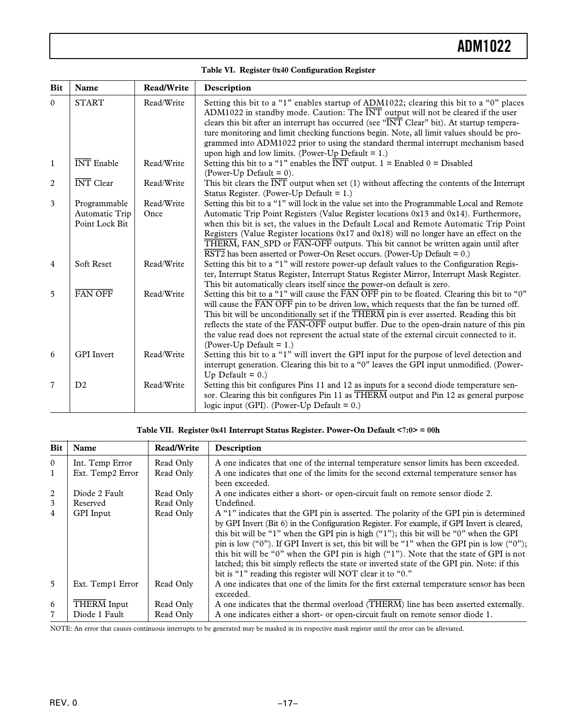| Table VI. Register 0x40 Configuration Register |  |  |  |  |
|------------------------------------------------|--|--|--|--|
|------------------------------------------------|--|--|--|--|

| <b>Bit</b>     | Name                                             | <b>Read/Write</b>  | Description                                                                                                                                                                                                                                                                                                                                                                                                                                                                                                                                                      |
|----------------|--------------------------------------------------|--------------------|------------------------------------------------------------------------------------------------------------------------------------------------------------------------------------------------------------------------------------------------------------------------------------------------------------------------------------------------------------------------------------------------------------------------------------------------------------------------------------------------------------------------------------------------------------------|
| $\mathbf{0}$   | <b>START</b>                                     | Read/Write         | Setting this bit to a "1" enables startup of ADM1022; clearing this bit to a "0" places<br>ADM1022 in standby mode. Caution: The $\overline{\text{INT}}$ output will not be cleared if the user<br>clears this bit after an interrupt has occurred (see "INT Clear" bit). At startup tempera-<br>ture monitoring and limit checking functions begin. Note, all limit values should be pro-<br>grammed into ADM1022 prior to using the standard thermal interrupt mechanism based<br>upon high and low limits. (Power-Up Default = $1$ .)                         |
| $\mathbf{1}$   | <b>INT</b> Enable                                | Read/Write         | Setting this bit to a "1" enables the $\overline{INT}$ output. 1 = Enabled 0 = Disabled<br>(Power-Up Default = $0$ ).                                                                                                                                                                                                                                                                                                                                                                                                                                            |
| 2              | <b>INT</b> Clear                                 | Read/Write         | This bit clears the $\overline{INT}$ output when set (1) without affecting the contents of the Interrupt<br>Status Register. (Power-Up Default = $1$ .)                                                                                                                                                                                                                                                                                                                                                                                                          |
| 3              | Programmable<br>Automatic Trip<br>Point Lock Bit | Read/Write<br>Once | Setting this bit to a "1" will lock in the value set into the Programmable Local and Remote<br>Automatic Trip Point Registers (Value Register locations 0x13 and 0x14). Furthermore,<br>when this bit is set, the values in the Default Local and Remote Automatic Trip Point<br>Registers (Value Register locations $0x17$ and $0x18$ ) will no longer have an effect on the<br>THERM, FAN_SPD or FAN-OFF outputs. This bit cannot be written again until after<br>$\overline{\text{RST2}}$ has been asserted or Power-On Reset occurs. (Power-Up Default = 0.) |
| 4              | Soft Reset                                       | Read/Write         | Setting this bit to a "1" will restore power-up default values to the Configuration Regis-<br>ter, Interrupt Status Register, Interrupt Status Register Mirror, Interrupt Mask Register.<br>This bit automatically clears itself since the power-on default is zero.                                                                                                                                                                                                                                                                                             |
| 5              | <b>FAN OFF</b>                                   | Read/Write         | Setting this bit to a "1" will cause the FAN OFF pin to be floated. Clearing this bit to "0"<br>will cause the FAN OFF pin to be driven low, which requests that the fan be turned off.<br>This bit will be unconditionally set if the THERM pin is ever asserted. Reading this bit<br>reflects the state of the FAN-OFF output buffer. Due to the open-drain nature of this pin<br>the value read does not represent the actual state of the external circuit connected to it.<br>(Power-Up Default = $1$ .)                                                    |
| 6              | <b>GPI</b> Invert                                | Read/Write         | Setting this bit to a "1" will invert the GPI input for the purpose of level detection and<br>interrupt generation. Clearing this bit to a "0" leaves the GPI input unmodified. (Power-<br>Up Default = $0.$ )                                                                                                                                                                                                                                                                                                                                                   |
| $\overline{7}$ | D2                                               | Read/Write         | Setting this bit configures Pins 11 and 12 as inputs for a second diode temperature sen-<br>sor. Clearing this bit configures Pin 11 as THERM output and Pin 12 as general purpose<br>logic input (GPI). (Power-Up Default = $0$ .)                                                                                                                                                                                                                                                                                                                              |

### **Table VII. Register 0x41 Interrupt Status Register. Power-On Default <7:0> = 00h**

| <b>Bit</b>     | Name               | <b>Read/Write</b> | Description                                                                                                                                                                                                                                                                                                                                                                                                                                                                                                                                                                                                                            |
|----------------|--------------------|-------------------|----------------------------------------------------------------------------------------------------------------------------------------------------------------------------------------------------------------------------------------------------------------------------------------------------------------------------------------------------------------------------------------------------------------------------------------------------------------------------------------------------------------------------------------------------------------------------------------------------------------------------------------|
| $\Omega$       | Int. Temp Error    | Read Only         | A one indicates that one of the internal temperature sensor limits has been exceeded.                                                                                                                                                                                                                                                                                                                                                                                                                                                                                                                                                  |
| 1              | Ext. Temp2 Error   | Read Only         | A one indicates that one of the limits for the second external temperature sensor has<br>been exceeded.                                                                                                                                                                                                                                                                                                                                                                                                                                                                                                                                |
| 2              | Diode 2 Fault      | Read Only         | A one indicates either a short- or open-circuit fault on remote sensor diode 2.                                                                                                                                                                                                                                                                                                                                                                                                                                                                                                                                                        |
| 3              | Reserved           | Read Only         | Undefined.                                                                                                                                                                                                                                                                                                                                                                                                                                                                                                                                                                                                                             |
| $\overline{4}$ | <b>GPI</b> Input   | Read Only         | A "1" indicates that the GPI pin is asserted. The polarity of the GPI pin is determined<br>by GPI Invert (Bit 6) in the Configuration Register. For example, if GPI Invert is cleared,<br>this bit will be "1" when the GPI pin is high ("1"); this bit will be "0" when the GPI<br>pin is low ("0"). If GPI Invert is set, this bit will be "1" when the GPI pin is low ("0");<br>this bit will be "0" when the GPI pin is high ("1"). Note that the state of GPI is not<br>latched; this bit simply reflects the state or inverted state of the GPI pin. Note: if this<br>bit is "1" reading this register will NOT clear it to "0." |
| $\overline{5}$ | Ext. Temp1 Error   | Read Only         | A one indicates that one of the limits for the first external temperature sensor has been<br>exceeded.                                                                                                                                                                                                                                                                                                                                                                                                                                                                                                                                 |
| 6              | <b>THERM</b> Input | Read Only         | A one indicates that the thermal overload (THERM) line has been asserted externally.                                                                                                                                                                                                                                                                                                                                                                                                                                                                                                                                                   |
| $\overline{7}$ | Diode 1 Fault      | Read Only         | A one indicates either a short- or open-circuit fault on remote sensor diode 1.                                                                                                                                                                                                                                                                                                                                                                                                                                                                                                                                                        |

NOTE: An error that causes continuous interrupts to be generated may be masked in its respective mask register until the error can be alleviated.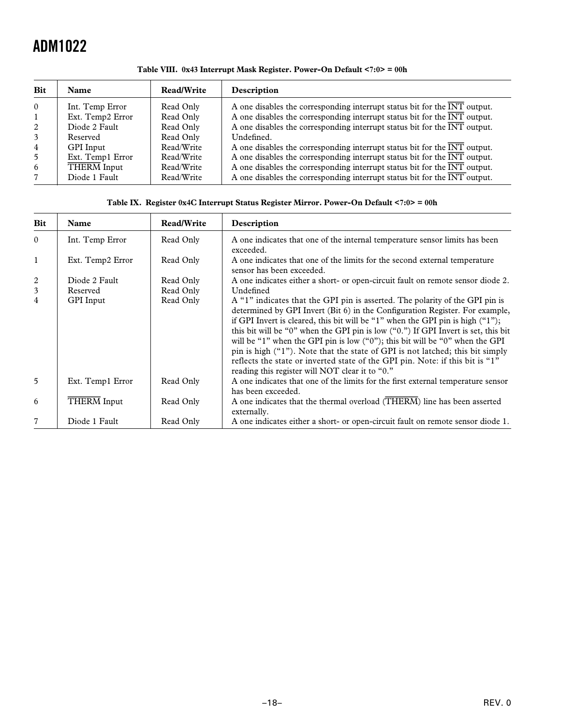| <b>Bit</b>     | <b>Name</b>      | <b>Read/Write</b> | Description                                                                                   |
|----------------|------------------|-------------------|-----------------------------------------------------------------------------------------------|
| $\Omega$       | Int. Temp Error  | Read Only         | A one disables the corresponding interrupt status bit for the $\overline{INT}$ output.        |
| $\mathbf{1}$   | Ext. Temp2 Error | Read Only         | A one disables the corresponding interrupt status bit for the $\overline{INT}$ output.        |
| 2              | Diode 2 Fault    | Read Only         | A one disables the corresponding interrupt status bit for the $\overline{INT}$ output.        |
| 3              | Reserved         | Read Only         | Undefined.                                                                                    |
| $\overline{4}$ | <b>GPI</b> Input | Read/Write        | A one disables the corresponding interrupt status bit for the $\overline{INT}$ output.        |
| 5              | Ext. Temp1 Error | Read/Write        | A one disables the corresponding interrupt status bit for the $\overline{INT}$ output.        |
| 6              | THERM Input      | Read/Write        | A one disables the corresponding interrupt status bit for the $\overline{INT}$ output.        |
| 7              | Diode 1 Fault    | Read/Write        | A one disables the corresponding interrupt status bit for the $\overline{\text{INT}}$ output. |

**Table VIII. 0x43 Interrupt Mask Register. Power-On Default <7:0> = 00h**

### **Table IX. Register 0x4C Interrupt Status Register Mirror. Power-On Default <7:0> = 00h**

| <b>Bit</b>     | Name               | Read/Write | Description                                                                                                                                                                                                                                                                                                                                                                                                                                                                                                                                                                                                                                  |
|----------------|--------------------|------------|----------------------------------------------------------------------------------------------------------------------------------------------------------------------------------------------------------------------------------------------------------------------------------------------------------------------------------------------------------------------------------------------------------------------------------------------------------------------------------------------------------------------------------------------------------------------------------------------------------------------------------------------|
| $\theta$       | Int. Temp Error    | Read Only  | A one indicates that one of the internal temperature sensor limits has been<br>exceeded.                                                                                                                                                                                                                                                                                                                                                                                                                                                                                                                                                     |
| 1              | Ext. Temp2 Error   | Read Only  | A one indicates that one of the limits for the second external temperature<br>sensor has been exceeded.                                                                                                                                                                                                                                                                                                                                                                                                                                                                                                                                      |
| 2              | Diode 2 Fault      | Read Only  | A one indicates either a short- or open-circuit fault on remote sensor diode 2.                                                                                                                                                                                                                                                                                                                                                                                                                                                                                                                                                              |
| 3              | Reserved           | Read Only  | Undefined                                                                                                                                                                                                                                                                                                                                                                                                                                                                                                                                                                                                                                    |
| $\overline{4}$ | <b>GPI</b> Input   | Read Only  | A "1" indicates that the GPI pin is asserted. The polarity of the GPI pin is<br>determined by GPI Invert (Bit 6) in the Configuration Register. For example,<br>if GPI Invert is cleared, this bit will be "1" when the GPI pin is high $("1")$ ;<br>this bit will be "0" when the GPI pin is low ("0.") If GPI Invert is set, this bit<br>will be "1" when the GPI pin is low ("0"); this bit will be "0" when the GPI<br>pin is high ("1"). Note that the state of GPI is not latched; this bit simply<br>reflects the state or inverted state of the GPI pin. Note: if this bit is "1"<br>reading this register will NOT clear it to "0." |
| $5^{\circ}$    | Ext. Temp1 Error   | Read Only  | A one indicates that one of the limits for the first external temperature sensor<br>has been exceeded.                                                                                                                                                                                                                                                                                                                                                                                                                                                                                                                                       |
| 6              | <b>THERM</b> Input | Read Only  | A one indicates that the thermal overload (THERM) line has been asserted<br>externally.                                                                                                                                                                                                                                                                                                                                                                                                                                                                                                                                                      |
| $\overline{7}$ | Diode 1 Fault      | Read Only  | A one indicates either a short- or open-circuit fault on remote sensor diode 1.                                                                                                                                                                                                                                                                                                                                                                                                                                                                                                                                                              |